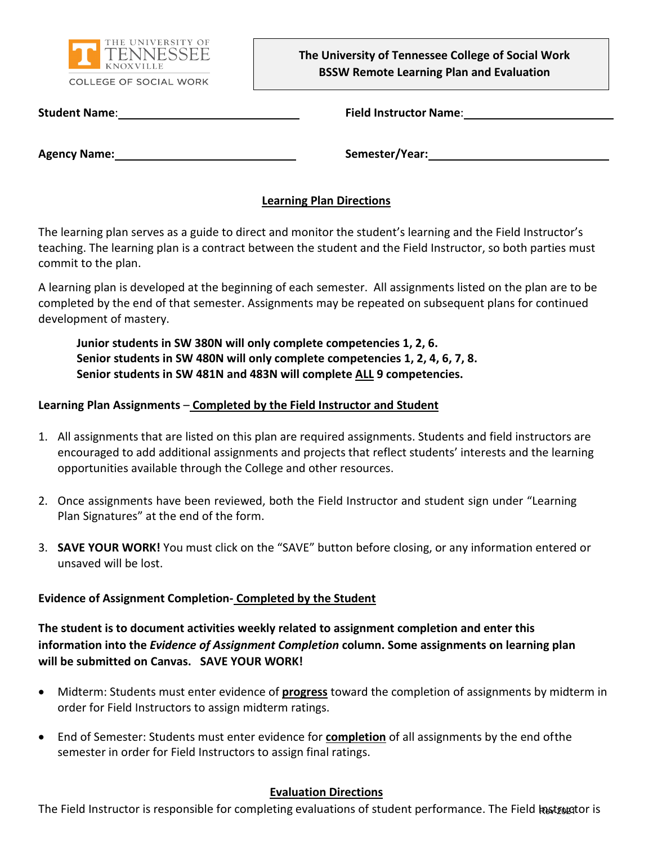

**The University of Tennessee College of Social Work BSSW Remote Learning Plan and Evaluation** 

**Student Name**: **Field Instructor Name**:

**Agency Name: Name: Semester/Year: Semester/Year: Semester/Year: Semester/Year: Semester/Year: Semester/Year: Semester/Year: Semester/Year: Semester/Year: Semester/Year: Semester/Year: Semester/Ye** 

#### **Learning Plan Directions**

The learning plan serves as a guide to direct and monitor the student's learning and the Field Instructor's teaching. The learning plan is a contract between the student and the Field Instructor, so both parties must commit to the plan.

A learning plan is developed at the beginning of each semester. All assignments listed on the plan are to be completed by the end of that semester. Assignments may be repeated on subsequent plans for continued development of mastery.

**Junior students in SW 380N will only complete competencies 1, 2, 6. Senior students in SW 480N will only complete competencies 1, 2, 4, 6, 7, 8. Senior students in SW 481N and 483N will complete ALL 9 competencies.**

#### **Learning Plan Assignments** – **Completed by the Field Instructor and Student**

- 1. All assignments that are listed on this plan are required assignments. Students and field instructors are encouraged to add additional assignments and projects that reflect students' interests and the learning opportunities available through the College and other resources.
- 2. Once assignments have been reviewed, both the Field Instructor and student sign under "Learning Plan Signatures" at the end of the form.
- 3. **SAVE YOUR WORK!** You must click on the "SAVE" button before closing, or any information entered or unsaved will be lost.

#### **Evidence of Assignment Completion- Completed by the Student**

**The student is to document activities weekly related to assignment completion and enter this information into the** *Evidence of Assignment Completion* **column. Some assignments on learning plan will be submitted on Canvas. SAVE YOUR WORK!**

- Midterm: Students must enter evidence of **progress** toward the completion of assignments by midterm in order for Field Instructors to assign midterm ratings.
- End of Semester: Students must enter evidence for **completion** of all assignments by the end ofthe semester in order for Field Instructors to assign final ratings.

### **Evaluation Directions**

The Field Instructor is responsible for completing evaluations of student performance. The Field kestregtor is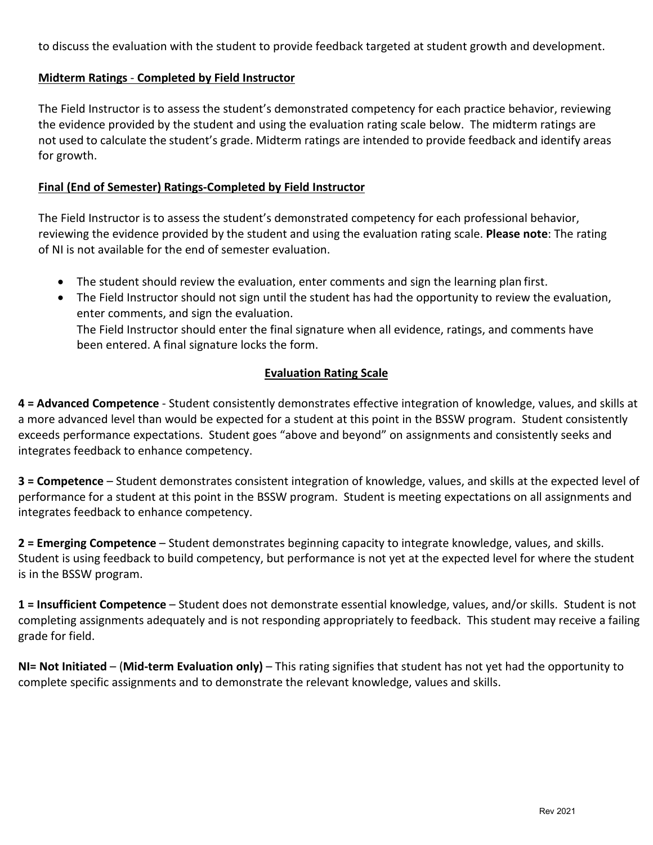to discuss the evaluation with the student to provide feedback targeted at student growth and development.

#### **Midterm Ratings** - **Completed by Field Instructor**

The Field Instructor is to assess the student's demonstrated competency for each practice behavior, reviewing the evidence provided by the student and using the evaluation rating scale below. The midterm ratings are not used to calculate the student's grade. Midterm ratings are intended to provide feedback and identify areas for growth.

#### **Final (End of Semester) Ratings-Completed by Field Instructor**

The Field Instructor is to assess the student's demonstrated competency for each professional behavior, reviewing the evidence provided by the student and using the evaluation rating scale. **Please note**: The rating of NI is not available for the end of semester evaluation.

- The student should review the evaluation, enter comments and sign the learning plan first.
- The Field Instructor should not sign until the student has had the opportunity to review the evaluation, enter comments, and sign the evaluation. The Field Instructor should enter the final signature when all evidence, ratings, and comments have been entered. A final signature locks the form.

#### **Evaluation Rating Scale**

**4 = Advanced Competence** - Student consistently demonstrates effective integration of knowledge, values, and skills at a more advanced level than would be expected for a student at this point in the BSSW program. Student consistently exceeds performance expectations. Student goes "above and beyond" on assignments and consistently seeks and integrates feedback to enhance competency.

**3 = Competence** – Student demonstrates consistent integration of knowledge, values, and skills at the expected level of performance for a student at this point in the BSSW program. Student is meeting expectations on all assignments and integrates feedback to enhance competency.

**2 = Emerging Competence** – Student demonstrates beginning capacity to integrate knowledge, values, and skills. Student is using feedback to build competency, but performance is not yet at the expected level for where the student is in the BSSW program.

**1 = Insufficient Competence** – Student does not demonstrate essential knowledge, values, and/or skills. Student is not completing assignments adequately and is not responding appropriately to feedback. This student may receive a failing grade for field.

**NI= Not Initiated** – (**Mid-term Evaluation only)** – This rating signifies that student has not yet had the opportunity to complete specific assignments and to demonstrate the relevant knowledge, values and skills.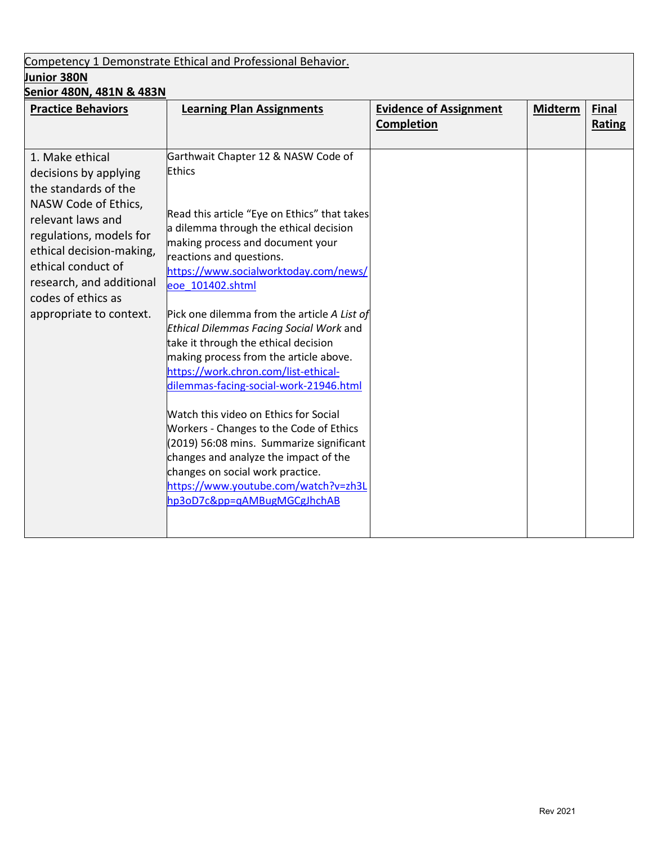# Competency 1 Demonstrate Ethical and Professional Behavior. **Junior 380N**

| Senior 480N, 481N & 483N                      |                                                           |                               |                |              |
|-----------------------------------------------|-----------------------------------------------------------|-------------------------------|----------------|--------------|
| <b>Practice Behaviors</b>                     | <b>Learning Plan Assignments</b>                          | <b>Evidence of Assignment</b> | <b>Midterm</b> | <b>Final</b> |
|                                               |                                                           | <b>Completion</b>             |                | Rating       |
|                                               |                                                           |                               |                |              |
| 1. Make ethical                               | Garthwait Chapter 12 & NASW Code of<br><b>Ethics</b>      |                               |                |              |
| decisions by applying<br>the standards of the |                                                           |                               |                |              |
| NASW Code of Ethics,                          |                                                           |                               |                |              |
| relevant laws and                             | Read this article "Eye on Ethics" that takes              |                               |                |              |
| regulations, models for                       | a dilemma through the ethical decision                    |                               |                |              |
| ethical decision-making,                      | making process and document your                          |                               |                |              |
| ethical conduct of                            | reactions and questions.                                  |                               |                |              |
| research, and additional                      | https://www.socialworktoday.com/news/<br>eoe 101402.shtml |                               |                |              |
| codes of ethics as                            |                                                           |                               |                |              |
| appropriate to context.                       | Pick one dilemma from the article A List of               |                               |                |              |
|                                               | Ethical Dilemmas Facing Social Work and                   |                               |                |              |
|                                               | take it through the ethical decision                      |                               |                |              |
|                                               | making process from the article above.                    |                               |                |              |
|                                               | https://work.chron.com/list-ethical-                      |                               |                |              |
|                                               | dilemmas-facing-social-work-21946.html                    |                               |                |              |
|                                               | Watch this video on Ethics for Social                     |                               |                |              |
|                                               | Workers - Changes to the Code of Ethics                   |                               |                |              |
|                                               | (2019) 56:08 mins. Summarize significant                  |                               |                |              |
|                                               | changes and analyze the impact of the                     |                               |                |              |
|                                               | changes on social work practice.                          |                               |                |              |
|                                               | https://www.youtube.com/watch?v=zh3L                      |                               |                |              |
|                                               | hp3oD7c&pp=qAMBugMGCgJhchAB                               |                               |                |              |
|                                               |                                                           |                               |                |              |
|                                               |                                                           |                               |                |              |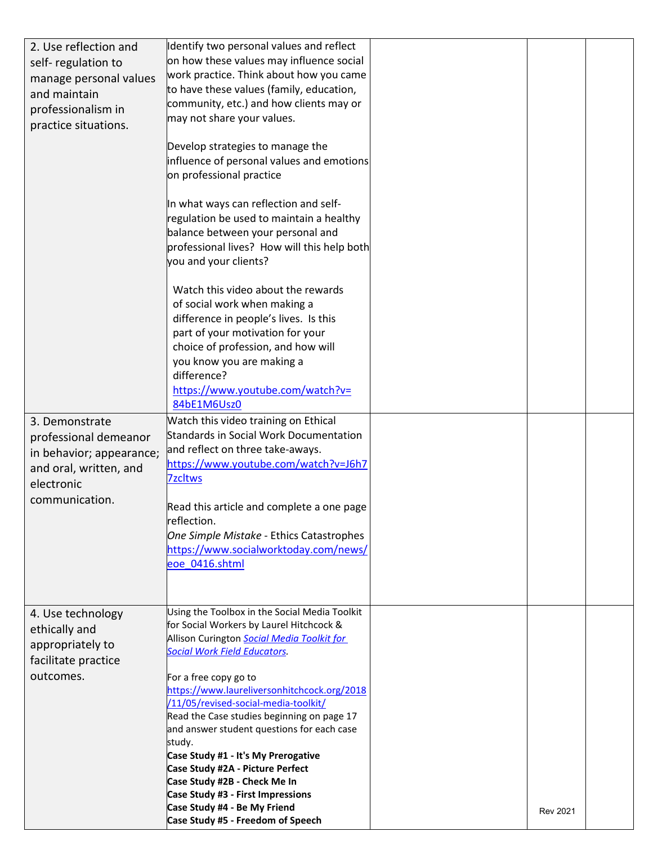| 2. Use reflection and<br>self-regulation to<br>manage personal values<br>and maintain<br>professionalism in<br>practice situations. | dentify two personal values and reflect<br>on how these values may influence social<br>work practice. Think about how you came<br>to have these values (family, education,<br>community, etc.) and how clients may or<br>may not share your values.<br>Develop strategies to manage the<br>influence of personal values and emotions<br>on professional practice<br>In what ways can reflection and self-<br>regulation be used to maintain a healthy<br>balance between your personal and<br>professional lives? How will this help both<br>you and your clients?<br>Watch this video about the rewards<br>of social work when making a<br>difference in people's lives. Is this<br>part of your motivation for your<br>choice of profession, and how will |                 |  |
|-------------------------------------------------------------------------------------------------------------------------------------|-------------------------------------------------------------------------------------------------------------------------------------------------------------------------------------------------------------------------------------------------------------------------------------------------------------------------------------------------------------------------------------------------------------------------------------------------------------------------------------------------------------------------------------------------------------------------------------------------------------------------------------------------------------------------------------------------------------------------------------------------------------|-----------------|--|
|                                                                                                                                     | you know you are making a<br>difference?<br>https://www.youtube.com/watch?v=<br>84bE1M6Usz0                                                                                                                                                                                                                                                                                                                                                                                                                                                                                                                                                                                                                                                                 |                 |  |
| 3. Demonstrate<br>professional demeanor<br>in behavior; appearance;<br>and oral, written, and<br>electronic<br>communication.       | Watch this video training on Ethical<br><b>Standards in Social Work Documentation</b><br>and reflect on three take-aways.<br>https://www.youtube.com/watch?v=J6h7<br><b>7zcltws</b><br>Read this article and complete a one page<br>reflection.<br>One Simple Mistake - Ethics Catastrophes<br>https://www.socialworktoday.com/news/<br>eoe 0416.shtml                                                                                                                                                                                                                                                                                                                                                                                                      |                 |  |
| 4. Use technology<br>ethically and<br>appropriately to<br>facilitate practice<br>outcomes.                                          | Using the Toolbox in the Social Media Toolkit<br>for Social Workers by Laurel Hitchcock &<br>Allison Curington Social Media Toolkit for<br><b>Social Work Field Educators.</b><br>For a free copy go to<br>https://www.laureliversonhitchcock.org/2018<br>/11/05/revised-social-media-toolkit/<br>Read the Case studies beginning on page 17<br>and answer student questions for each case<br>study.<br>Case Study #1 - It's My Prerogative<br>Case Study #2A - Picture Perfect<br>Case Study #2B - Check Me In<br>Case Study #3 - First Impressions<br>Case Study #4 - Be My Friend<br>Case Study #5 - Freedom of Speech                                                                                                                                   | <b>Rev 2021</b> |  |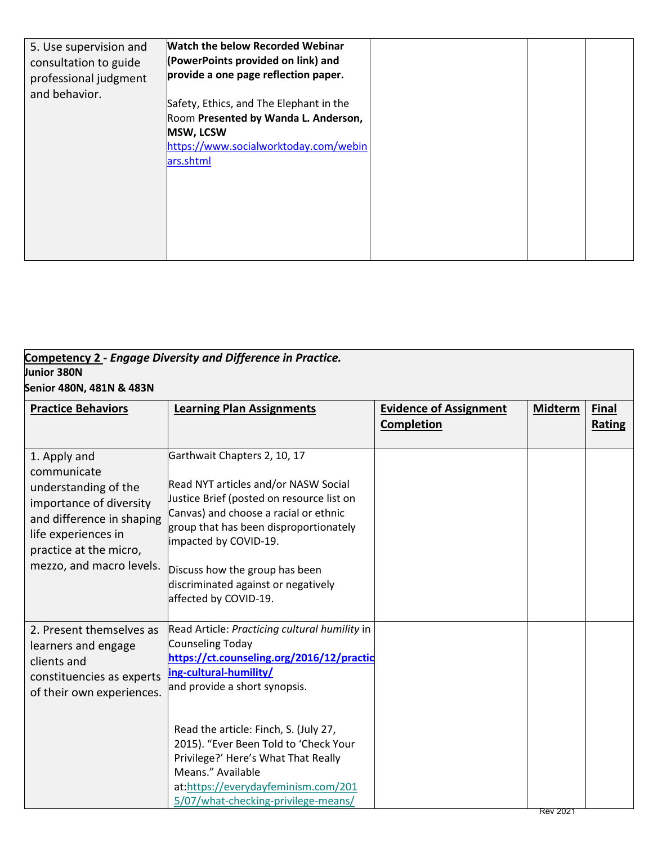| 5. Use supervision and<br>consultation to guide<br>professional judgment<br>and behavior. | <b>Watch the below Recorded Webinar</b><br>(PowerPoints provided on link) and<br>provide a one page reflection paper.<br>Safety, Ethics, and The Elephant in the<br>Room Presented by Wanda L. Anderson,<br><b>MSW, LCSW</b><br>https://www.socialworktoday.com/webin<br>ars.shtml |  |  |
|-------------------------------------------------------------------------------------------|------------------------------------------------------------------------------------------------------------------------------------------------------------------------------------------------------------------------------------------------------------------------------------|--|--|
|                                                                                           |                                                                                                                                                                                                                                                                                    |  |  |

| Junior 380N<br>Senior 480N, 481N & 483N                                                                                                                                                  | Competency 2 - Engage Diversity and Difference in Practice.                                                                                                                                                                                                                                                                                                           |                                             |                |                        |
|------------------------------------------------------------------------------------------------------------------------------------------------------------------------------------------|-----------------------------------------------------------------------------------------------------------------------------------------------------------------------------------------------------------------------------------------------------------------------------------------------------------------------------------------------------------------------|---------------------------------------------|----------------|------------------------|
| <b>Practice Behaviors</b>                                                                                                                                                                | <b>Learning Plan Assignments</b>                                                                                                                                                                                                                                                                                                                                      | <b>Evidence of Assignment</b><br>Completion | <b>Midterm</b> | <b>Final</b><br>Rating |
| 1. Apply and<br>communicate<br>understanding of the<br>importance of diversity<br>and difference in shaping<br>life experiences in<br>practice at the micro,<br>mezzo, and macro levels. | Garthwait Chapters 2, 10, 17<br>Read NYT articles and/or NASW Social<br>Justice Brief (posted on resource list on<br>Canvas) and choose a racial or ethnic<br>group that has been disproportionately<br>impacted by COVID-19.<br>Discuss how the group has been<br>discriminated against or negatively<br>affected by COVID-19.                                       |                                             |                |                        |
| 2. Present themselves as<br>learners and engage<br>clients and<br>constituencies as experts<br>of their own experiences.                                                                 | Read Article: Practicing cultural humility in<br><b>Counseling Today</b><br>https://ct.counseling.org/2016/12/practic<br>ing-cultural-humility/<br>and provide a short synopsis.<br>Read the article: Finch, S. (July 27,<br>2015). "Ever Been Told to 'Check Your<br>Privilege?' Here's What That Really<br>Means." Available<br>at:https://everydayfeminism.com/201 |                                             |                |                        |

5/07/what-checking-privilege-means/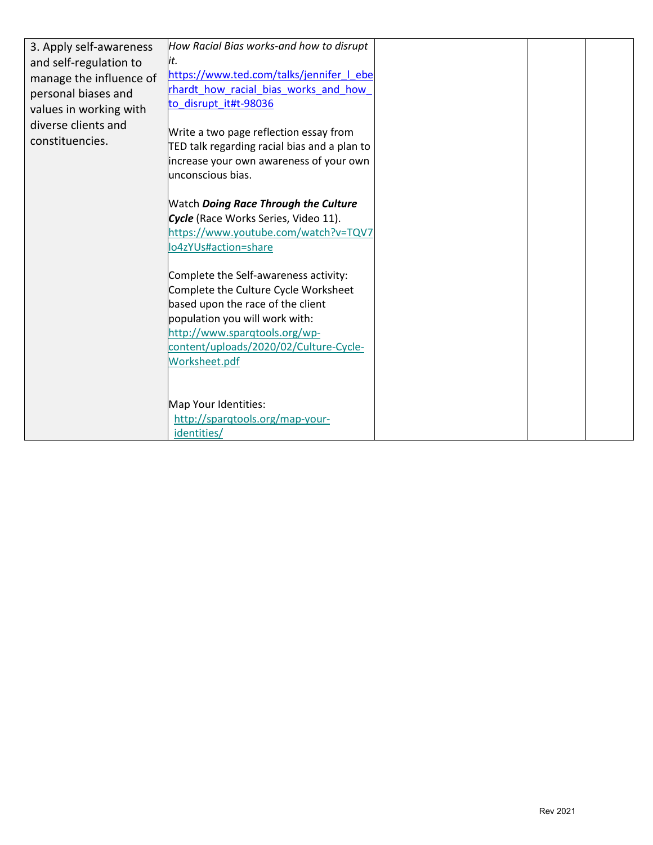| 3. Apply self-awareness | How Racial Bias works-and how to disrupt                |  |  |
|-------------------------|---------------------------------------------------------|--|--|
| and self-regulation to  | lit.                                                    |  |  |
| manage the influence of | https://www.ted.com/talks/jennifer I ebe                |  |  |
| personal biases and     | rhardt how racial bias works and how                    |  |  |
| values in working with  | to_disrupt_it#t-98036                                   |  |  |
| diverse clients and     |                                                         |  |  |
| constituencies.         | Write a two page reflection essay from                  |  |  |
|                         | TED talk regarding racial bias and a plan to            |  |  |
|                         | increase your own awareness of your own                 |  |  |
|                         | unconscious bias.                                       |  |  |
|                         |                                                         |  |  |
|                         | <b>Watch Doing Race Through the Culture</b>             |  |  |
|                         | Cycle (Race Works Series, Video 11).                    |  |  |
|                         | https://www.youtube.com/watch?v=TQV7                    |  |  |
|                         | lo4zYUs#action=share                                    |  |  |
|                         |                                                         |  |  |
|                         | Complete the Self-awareness activity:                   |  |  |
|                         | Complete the Culture Cycle Worksheet                    |  |  |
|                         | based upon the race of the client                       |  |  |
|                         | population you will work with:                          |  |  |
|                         | http://www.sparqtools.org/wp-                           |  |  |
|                         | content/uploads/2020/02/Culture-Cycle-                  |  |  |
|                         | Worksheet.pdf                                           |  |  |
|                         |                                                         |  |  |
|                         |                                                         |  |  |
|                         | Map Your Identities:<br>http://sparqtools.org/map-your- |  |  |
|                         | identities/                                             |  |  |
|                         |                                                         |  |  |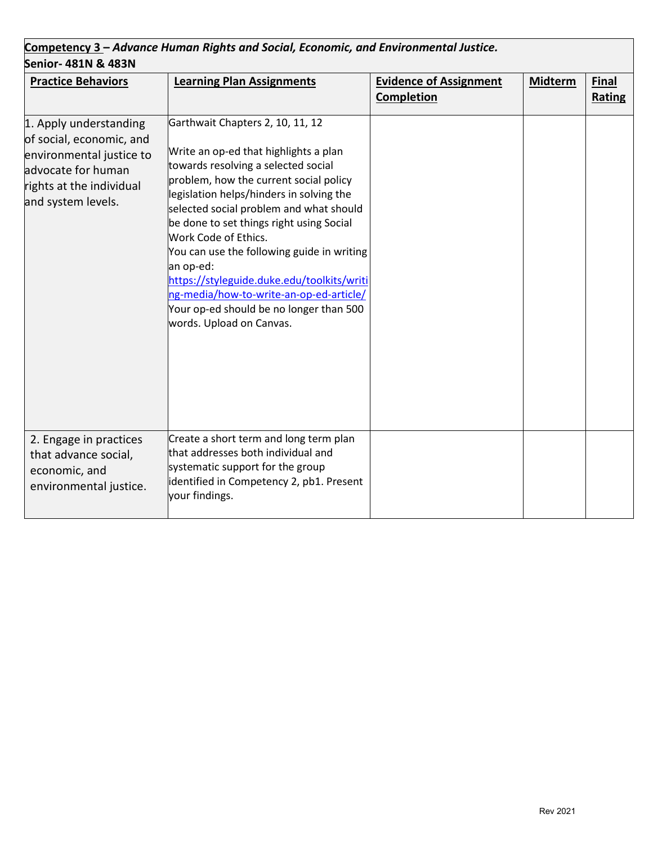| Competency 3 – Advance Human Rights and Social, Economic, and Environmental Justice.                                                                   |                                                                                                                                                                                                                                                                                                                                                                                                                                                                                                                                                  |                                                    |         |                        |
|--------------------------------------------------------------------------------------------------------------------------------------------------------|--------------------------------------------------------------------------------------------------------------------------------------------------------------------------------------------------------------------------------------------------------------------------------------------------------------------------------------------------------------------------------------------------------------------------------------------------------------------------------------------------------------------------------------------------|----------------------------------------------------|---------|------------------------|
| Senior- 481N & 483N                                                                                                                                    |                                                                                                                                                                                                                                                                                                                                                                                                                                                                                                                                                  |                                                    |         |                        |
| <b>Practice Behaviors</b>                                                                                                                              | <b>Learning Plan Assignments</b>                                                                                                                                                                                                                                                                                                                                                                                                                                                                                                                 | <b>Evidence of Assignment</b><br><b>Completion</b> | Midterm | <b>Final</b><br>Rating |
| 1. Apply understanding<br>of social, economic, and<br>environmental justice to<br>advocate for human<br>rights at the individual<br>and system levels. | Garthwait Chapters 2, 10, 11, 12<br>Write an op-ed that highlights a plan<br>towards resolving a selected social<br>problem, how the current social policy<br>legislation helps/hinders in solving the<br>selected social problem and what should<br>be done to set things right using Social<br>Work Code of Ethics.<br>You can use the following guide in writing<br>an op-ed:<br>https://styleguide.duke.edu/toolkits/writi<br>ng-media/how-to-write-an-op-ed-article/<br>Your op-ed should be no longer than 500<br>words. Upload on Canvas. |                                                    |         |                        |
| 2. Engage in practices<br>that advance social,<br>economic, and<br>environmental justice.                                                              | Create a short term and long term plan<br>that addresses both individual and<br>systematic support for the group<br>identified in Competency 2, pb1. Present<br>your findings.                                                                                                                                                                                                                                                                                                                                                                   |                                                    |         |                        |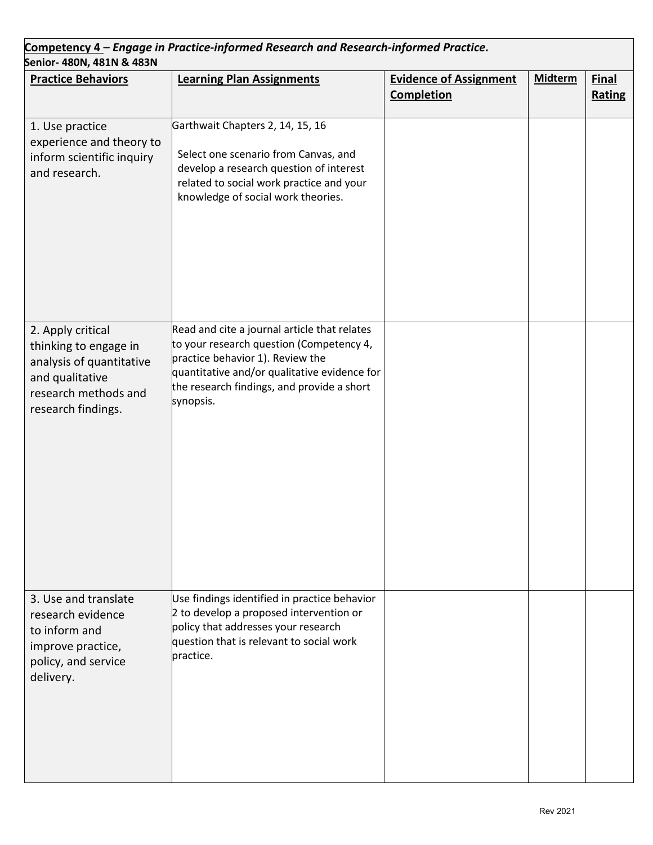| Senior- 480N, 481N & 483N                                                                                                               | Competency 4 - Engage in Practice-informed Research and Research-informed Practice.                                                                                                                                                     |                                             |                |                        |
|-----------------------------------------------------------------------------------------------------------------------------------------|-----------------------------------------------------------------------------------------------------------------------------------------------------------------------------------------------------------------------------------------|---------------------------------------------|----------------|------------------------|
| <b>Practice Behaviors</b>                                                                                                               | <b>Learning Plan Assignments</b>                                                                                                                                                                                                        | <b>Evidence of Assignment</b><br>Completion | <b>Midterm</b> | <b>Final</b><br>Rating |
| 1. Use practice<br>experience and theory to<br>inform scientific inquiry<br>and research.                                               | Garthwait Chapters 2, 14, 15, 16<br>Select one scenario from Canvas, and<br>develop a research question of interest<br>related to social work practice and your<br>knowledge of social work theories.                                   |                                             |                |                        |
| 2. Apply critical<br>thinking to engage in<br>analysis of quantitative<br>and qualitative<br>research methods and<br>research findings. | Read and cite a journal article that relates<br>to your research question (Competency 4,<br>practice behavior 1). Review the<br>quantitative and/or qualitative evidence for<br>the research findings, and provide a short<br>synopsis. |                                             |                |                        |
| 3. Use and translate<br>research evidence<br>to inform and<br>improve practice,<br>policy, and service<br>delivery.                     | Use findings identified in practice behavior<br>2 to develop a proposed intervention or<br>policy that addresses your research<br>question that is relevant to social work<br>practice.                                                 |                                             |                |                        |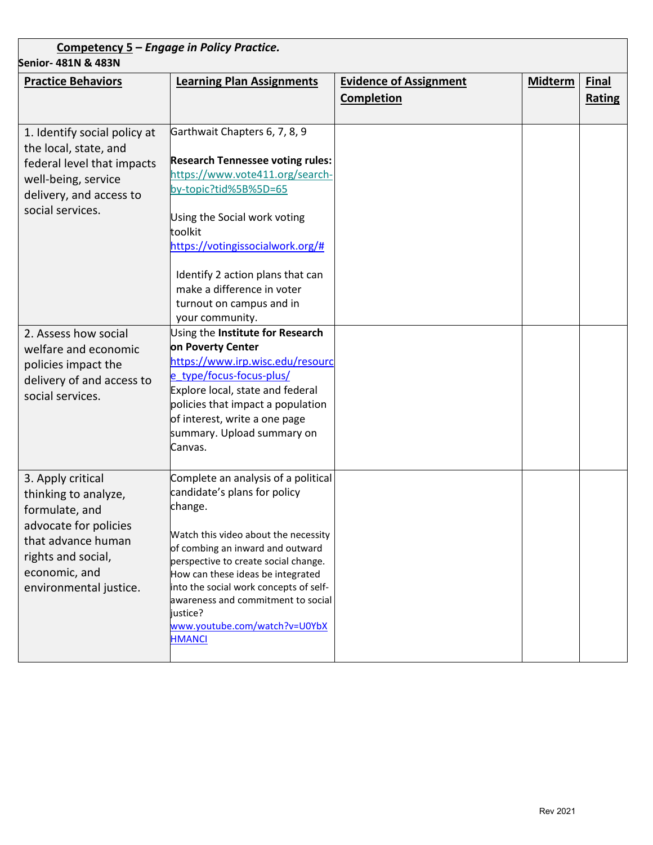| Senior- 481N & 483N                                 | Competency 5 - Engage in Policy Practice.                                    |                               |                |              |
|-----------------------------------------------------|------------------------------------------------------------------------------|-------------------------------|----------------|--------------|
| <b>Practice Behaviors</b>                           | <b>Learning Plan Assignments</b>                                             | <b>Evidence of Assignment</b> | <b>Midterm</b> | <b>Final</b> |
|                                                     |                                                                              | <b>Completion</b>             |                | Rating       |
|                                                     |                                                                              |                               |                |              |
| 1. Identify social policy at                        | Garthwait Chapters 6, 7, 8, 9                                                |                               |                |              |
| the local, state, and<br>federal level that impacts | <b>Research Tennessee voting rules:</b>                                      |                               |                |              |
| well-being, service                                 | https://www.vote411.org/search-                                              |                               |                |              |
| delivery, and access to                             | by-topic?tid%5B%5D=65                                                        |                               |                |              |
| social services.                                    | Using the Social work voting                                                 |                               |                |              |
|                                                     | toolkit<br>https://votingissocialwork.org/#                                  |                               |                |              |
|                                                     |                                                                              |                               |                |              |
|                                                     | Identify 2 action plans that can                                             |                               |                |              |
|                                                     | make a difference in voter                                                   |                               |                |              |
|                                                     | turnout on campus and in                                                     |                               |                |              |
|                                                     | your community.                                                              |                               |                |              |
| 2. Assess how social<br>welfare and economic        | Using the Institute for Research<br>on Poverty Center                        |                               |                |              |
|                                                     | https://www.irp.wisc.edu/resourc                                             |                               |                |              |
| policies impact the<br>delivery of and access to    | e_type/focus-focus-plus/                                                     |                               |                |              |
| social services.                                    | Explore local, state and federal                                             |                               |                |              |
|                                                     | policies that impact a population                                            |                               |                |              |
|                                                     | of interest, write a one page                                                |                               |                |              |
|                                                     | summary. Upload summary on                                                   |                               |                |              |
|                                                     | Canvas.                                                                      |                               |                |              |
| 3. Apply critical                                   | Complete an analysis of a political                                          |                               |                |              |
| thinking to analyze,                                | candidate's plans for policy                                                 |                               |                |              |
| formulate, and                                      | change.                                                                      |                               |                |              |
| advocate for policies                               | Watch this video about the necessity                                         |                               |                |              |
| that advance human                                  | of combing an inward and outward                                             |                               |                |              |
| rights and social,                                  | perspective to create social change.                                         |                               |                |              |
| economic, and                                       | How can these ideas be integrated                                            |                               |                |              |
| environmental justice.                              | into the social work concepts of self-<br>awareness and commitment to social |                               |                |              |
|                                                     | justice?                                                                     |                               |                |              |
|                                                     | www.youtube.com/watch?v=U0YbX                                                |                               |                |              |
|                                                     | <b>HMANCI</b>                                                                |                               |                |              |
|                                                     |                                                                              |                               |                |              |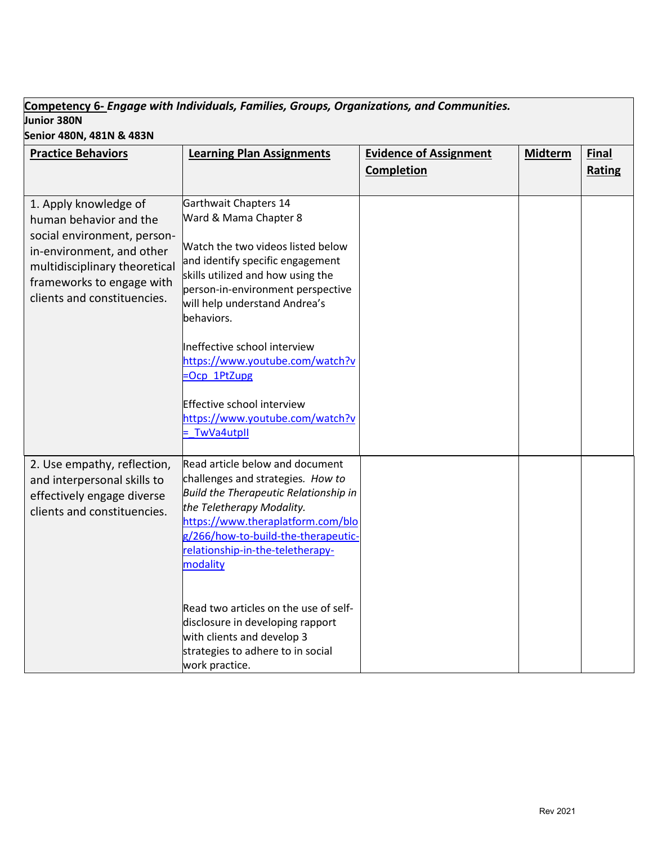# **Competency 6-** *Engage with Individuals, Families, Groups, Organizations, and Communities.* **Junior 380N**

**Senior 480N, 481N & 483N**

| Senior 480N, 481N & 483N      |                                              |                               |                |               |
|-------------------------------|----------------------------------------------|-------------------------------|----------------|---------------|
| <b>Practice Behaviors</b>     | <b>Learning Plan Assignments</b>             | <b>Evidence of Assignment</b> | <b>Midterm</b> | <b>Final</b>  |
|                               |                                              | Completion                    |                | <b>Rating</b> |
|                               |                                              |                               |                |               |
| 1. Apply knowledge of         | Garthwait Chapters 14                        |                               |                |               |
| human behavior and the        | Ward & Mama Chapter 8                        |                               |                |               |
| social environment, person-   | Watch the two videos listed below            |                               |                |               |
| in-environment, and other     | and identify specific engagement             |                               |                |               |
| multidisciplinary theoretical | skills utilized and how using the            |                               |                |               |
| frameworks to engage with     | person-in-environment perspective            |                               |                |               |
| clients and constituencies.   | will help understand Andrea's                |                               |                |               |
|                               | behaviors.                                   |                               |                |               |
|                               | Ineffective school interview                 |                               |                |               |
|                               | https://www.youtube.com/watch?v              |                               |                |               |
|                               | -Ocp 1PtZupg                                 |                               |                |               |
|                               |                                              |                               |                |               |
|                               | Effective school interview                   |                               |                |               |
|                               | https://www.youtube.com/watch?v              |                               |                |               |
|                               | - TwVa4utpll                                 |                               |                |               |
| 2. Use empathy, reflection,   | Read article below and document              |                               |                |               |
| and interpersonal skills to   | challenges and strategies. How to            |                               |                |               |
| effectively engage diverse    | <b>Build the Therapeutic Relationship in</b> |                               |                |               |
| clients and constituencies.   | the Teletherapy Modality.                    |                               |                |               |
|                               | https://www.theraplatform.com/blo            |                               |                |               |
|                               | g/266/how-to-build-the-therapeutic-          |                               |                |               |
|                               | relationship-in-the-teletherapy-             |                               |                |               |
|                               | modality                                     |                               |                |               |
|                               |                                              |                               |                |               |
|                               | Read two articles on the use of self-        |                               |                |               |
|                               | disclosure in developing rapport             |                               |                |               |
|                               | with clients and develop 3                   |                               |                |               |
|                               | strategies to adhere to in social            |                               |                |               |
|                               | work practice.                               |                               |                |               |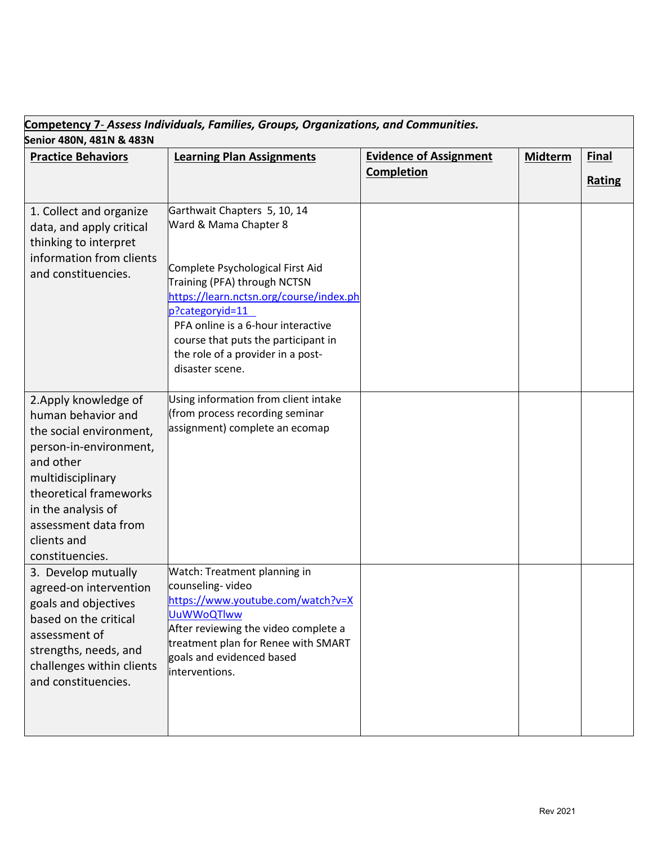| Senior 480N, 481N & 483N                                                                                                                                                                                                                     | Competency 7- Assess Individuals, Families, Groups, Organizations, and Communities.                                                                                                                                                                                                                                          |                                                    |                |               |
|----------------------------------------------------------------------------------------------------------------------------------------------------------------------------------------------------------------------------------------------|------------------------------------------------------------------------------------------------------------------------------------------------------------------------------------------------------------------------------------------------------------------------------------------------------------------------------|----------------------------------------------------|----------------|---------------|
| <b>Practice Behaviors</b>                                                                                                                                                                                                                    | <b>Learning Plan Assignments</b>                                                                                                                                                                                                                                                                                             | <b>Evidence of Assignment</b><br><b>Completion</b> | <b>Midterm</b> | <b>Final</b>  |
|                                                                                                                                                                                                                                              |                                                                                                                                                                                                                                                                                                                              |                                                    |                | <b>Rating</b> |
| 1. Collect and organize<br>data, and apply critical<br>thinking to interpret<br>information from clients<br>and constituencies.                                                                                                              | Garthwait Chapters 5, 10, 14<br>Ward & Mama Chapter 8<br>Complete Psychological First Aid<br>Training (PFA) through NCTSN<br>https://learn.nctsn.org/course/index.ph<br>p?categoryid=11<br>PFA online is a 6-hour interactive<br>course that puts the participant in<br>the role of a provider in a post-<br>disaster scene. |                                                    |                |               |
| 2. Apply knowledge of<br>human behavior and<br>the social environment,<br>person-in-environment,<br>and other<br>multidisciplinary<br>theoretical frameworks<br>in the analysis of<br>assessment data from<br>clients and<br>constituencies. | Using information from client intake<br>(from process recording seminar<br>assignment) complete an ecomap                                                                                                                                                                                                                    |                                                    |                |               |
| 3. Develop mutually<br>agreed-on intervention<br>goals and objectives<br>based on the critical<br>assessment of<br>strengths, needs, and<br>challenges within clients<br>and constituencies.                                                 | Watch: Treatment planning in<br>counseling-video<br>https://www.youtube.com/watch?v=X<br><b>UuWWoQTlww</b><br>After reviewing the video complete a<br>treatment plan for Renee with SMART<br>goals and evidenced based<br>interventions.                                                                                     |                                                    |                |               |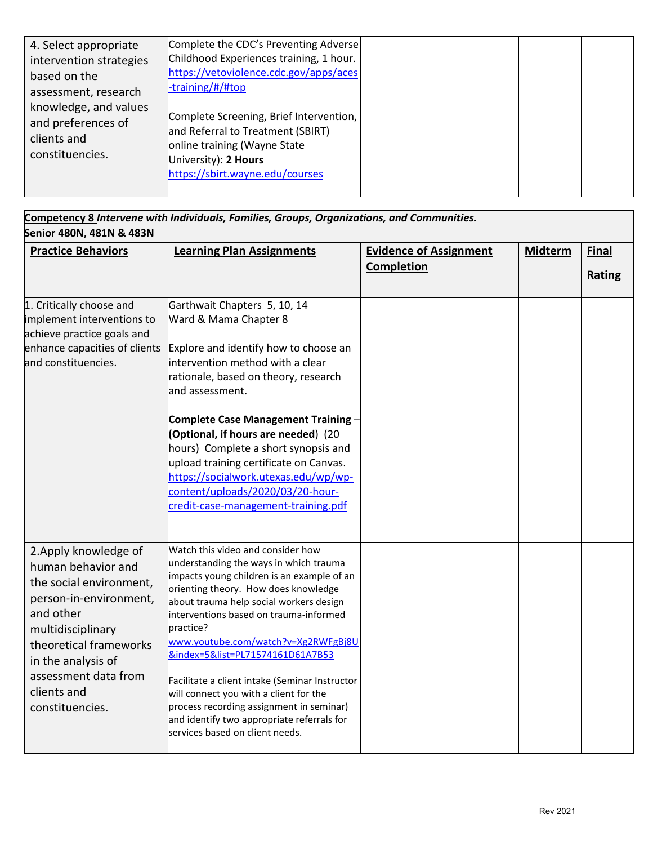| 4. Select appropriate<br>intervention strategies<br>based on the<br>assessment, research | Complete the CDC's Preventing Adverse<br>Childhood Experiences training, 1 hour.<br>https://vetoviolence.cdc.gov/apps/aces<br>-training/#/#top                          |  |  |
|------------------------------------------------------------------------------------------|-------------------------------------------------------------------------------------------------------------------------------------------------------------------------|--|--|
| knowledge, and values<br>and preferences of<br>clients and<br>constituencies.            | Complete Screening, Brief Intervention,<br>and Referral to Treatment (SBIRT)<br>online training (Wayne State<br>University): 2 Hours<br>https://sbirt.wayne.edu/courses |  |  |

| Competency 8 Intervene with Individuals, Families, Groups, Organizations, and Communities. |
|--------------------------------------------------------------------------------------------|
| Senior 480N, 481N & 483N                                                                   |

| <b>Practice Behaviors</b>                                                                                                                                                                                                                    | <b>Learning Plan Assignments</b>                                                                                                                                                                                                                                                                                                                                                                                                                                                                                                                                        | <b>Evidence of Assignment</b><br><b>Completion</b> | <b>Midterm</b> | <b>Final</b><br>Rating |
|----------------------------------------------------------------------------------------------------------------------------------------------------------------------------------------------------------------------------------------------|-------------------------------------------------------------------------------------------------------------------------------------------------------------------------------------------------------------------------------------------------------------------------------------------------------------------------------------------------------------------------------------------------------------------------------------------------------------------------------------------------------------------------------------------------------------------------|----------------------------------------------------|----------------|------------------------|
| 1. Critically choose and<br>implement interventions to<br>achieve practice goals and<br>enhance capacities of clients<br>and constituencies.                                                                                                 | Garthwait Chapters 5, 10, 14<br>Ward & Mama Chapter 8<br>Explore and identify how to choose an<br>intervention method with a clear<br>rationale, based on theory, research<br>land assessment.<br><b>Complete Case Management Training -</b><br>(Optional, if hours are needed) (20<br>hours) Complete a short synopsis and<br>upload training certificate on Canvas.<br>https://socialwork.utexas.edu/wp/wp-<br>content/uploads/2020/03/20-hour-<br>credit-case-management-training.pdf                                                                                |                                                    |                |                        |
| 2. Apply knowledge of<br>human behavior and<br>the social environment,<br>person-in-environment,<br>and other<br>multidisciplinary<br>theoretical frameworks<br>in the analysis of<br>assessment data from<br>clients and<br>constituencies. | Watch this video and consider how<br>understanding the ways in which trauma<br>impacts young children is an example of an<br>orienting theory. How does knowledge<br>about trauma help social workers design<br>interventions based on trauma-informed<br>practice?<br>www.youtube.com/watch?v=Xg2RWFgBj8U<br>&index=5&list=PL71574161D61A7B53<br>Facilitate a client intake (Seminar Instructor<br>will connect you with a client for the<br>process recording assignment in seminar)<br>and identify two appropriate referrals for<br>services based on client needs. |                                                    |                |                        |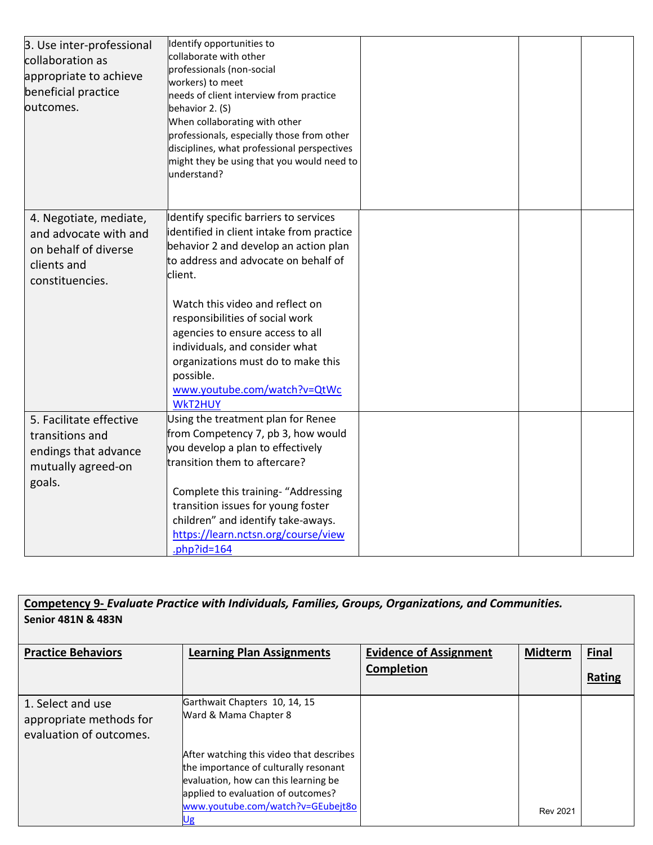| 3. Use inter-professional<br>collaboration as<br>appropriate to achieve<br>beneficial practice<br>loutcomes. | Identify opportunities to<br>collaborate with other<br>professionals (non-social<br>workers) to meet<br>needs of client interview from practice<br>behavior 2. (S)<br>When collaborating with other<br>professionals, especially those from other<br>disciplines, what professional perspectives<br>might they be using that you would need to<br>lunderstand?                                                                   |  |  |
|--------------------------------------------------------------------------------------------------------------|----------------------------------------------------------------------------------------------------------------------------------------------------------------------------------------------------------------------------------------------------------------------------------------------------------------------------------------------------------------------------------------------------------------------------------|--|--|
| 4. Negotiate, mediate,<br>and advocate with and<br>on behalf of diverse<br>clients and<br>constituencies.    | Identify specific barriers to services<br>identified in client intake from practice<br>behavior 2 and develop an action plan<br>to address and advocate on behalf of<br>client.<br>Watch this video and reflect on<br>responsibilities of social work<br>agencies to ensure access to all<br>individuals, and consider what<br>organizations must do to make this<br>possible.<br>www.youtube.com/watch?v=QtWc<br><b>WKT2HUY</b> |  |  |
| 5. Facilitate effective<br>transitions and<br>endings that advance<br>mutually agreed-on<br>goals.           | Using the treatment plan for Renee<br>from Competency 7, pb 3, how would<br>you develop a plan to effectively<br>transition them to aftercare?<br>Complete this training- "Addressing<br>transition issues for young foster<br>children" and identify take-aways.<br>https://learn.nctsn.org/course/view<br>.php?id= $164$                                                                                                       |  |  |

**Competency 9-** *Evaluate Practice with Individuals, Families, Groups, Organizations, and Communities.* **Senior 481N & 483N**

| <b>Practice Behaviors</b>                                               | <b>Learning Plan Assignments</b>                                                                                                                                                                           | <b>Evidence of Assignment</b><br>Completion | <b>Midterm</b>  | <b>Final</b><br>Rating |
|-------------------------------------------------------------------------|------------------------------------------------------------------------------------------------------------------------------------------------------------------------------------------------------------|---------------------------------------------|-----------------|------------------------|
| 1. Select and use<br>appropriate methods for<br>evaluation of outcomes. | Garthwait Chapters 10, 14, 15<br>Ward & Mama Chapter 8                                                                                                                                                     |                                             |                 |                        |
|                                                                         | After watching this video that describes<br>the importance of culturally resonant<br>evaluation, how can this learning be<br>applied to evaluation of outcomes?<br>www.youtube.com/watch?v=GEubejt8o<br>Ug |                                             | <b>Rev 2021</b> |                        |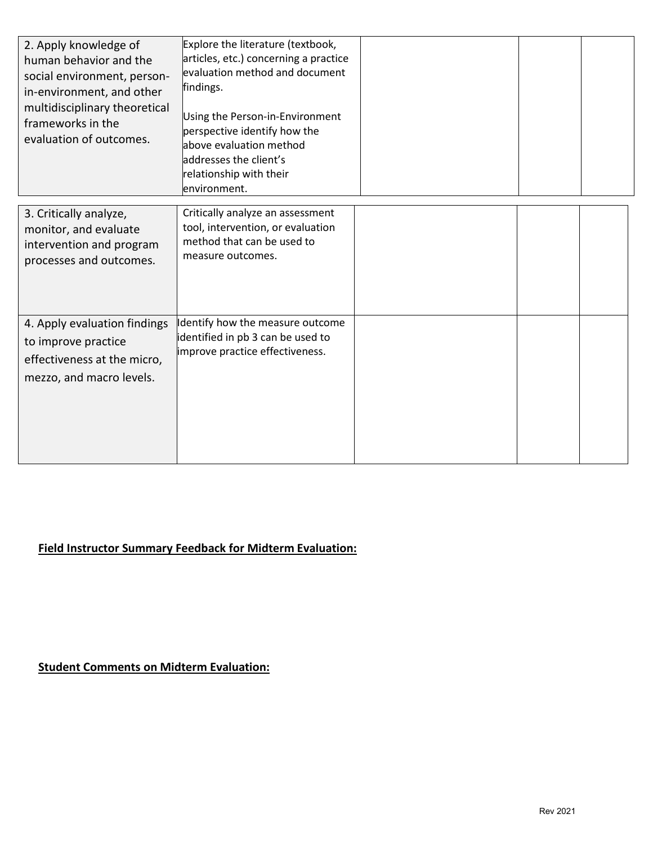| 2. Apply knowledge of<br>human behavior and the<br>social environment, person-<br>in-environment, and other<br>multidisciplinary theoretical<br>frameworks in the<br>evaluation of outcomes. | Explore the literature (textbook,<br>articles, etc.) concerning a practice<br>evaluation method and document<br>findings.<br>Using the Person-in-Environment<br>perspective identify how the<br>above evaluation method<br>addresses the client's<br>relationship with their<br>environment. |  |  |
|----------------------------------------------------------------------------------------------------------------------------------------------------------------------------------------------|----------------------------------------------------------------------------------------------------------------------------------------------------------------------------------------------------------------------------------------------------------------------------------------------|--|--|
| 3. Critically analyze,<br>monitor, and evaluate<br>intervention and program<br>processes and outcomes.                                                                                       | Critically analyze an assessment<br>tool, intervention, or evaluation<br>method that can be used to<br>measure outcomes.                                                                                                                                                                     |  |  |
| 4. Apply evaluation findings<br>to improve practice<br>effectiveness at the micro,<br>mezzo, and macro levels.                                                                               | Identify how the measure outcome<br>identified in pb 3 can be used to<br>improve practice effectiveness.                                                                                                                                                                                     |  |  |

## **Field Instructor Summary Feedback for Midterm Evaluation:**

**Student Comments on Midterm Evaluation:**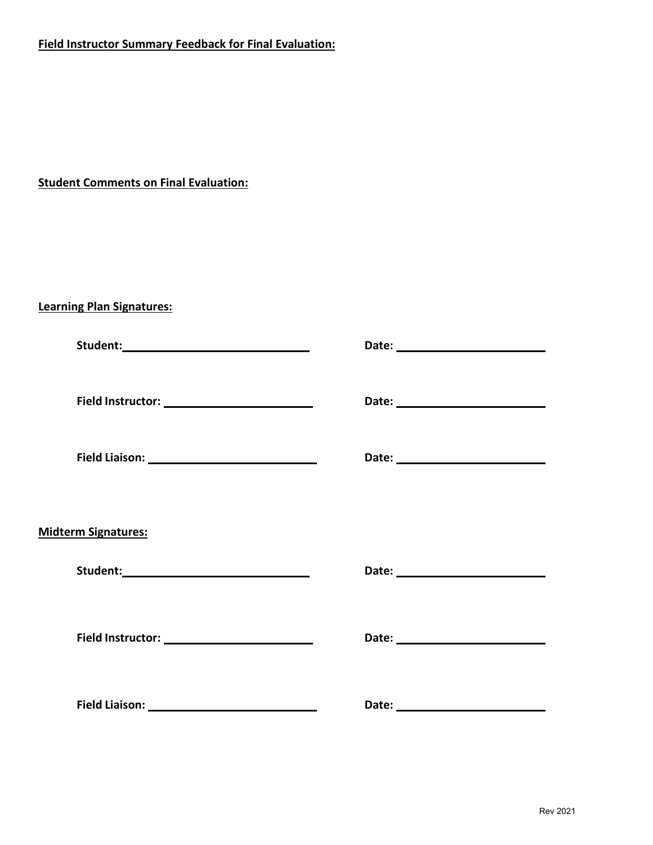### **Field Instructor Summary Feedback for Final Evaluation:**

**Student Comments on Final Evaluation:**

**Learning Plan Signatures:**

| <b>Midterm Signatures:</b> |  |
|----------------------------|--|
|                            |  |
|                            |  |
|                            |  |
|                            |  |
|                            |  |
|                            |  |